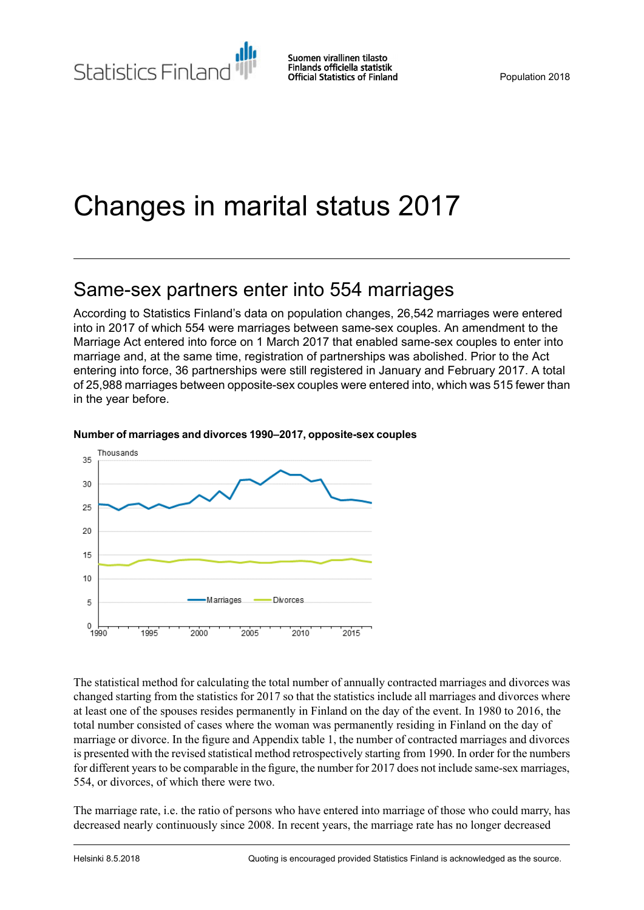Statistics Finland

Suomen virallinen tilasto Finlands officiella statistik **Official Statistics of Finland** 

# Changes in marital status 2017

## Same-sex partners enter into 554 marriages

According to Statistics Finland's data on population changes, 26,542 marriages were entered into in 2017 of which 554 were marriages between same-sex couples. An amendment to the Marriage Act entered into force on 1 March 2017 that enabled same-sex couples to enter into marriage and, at the same time, registration of partnerships was abolished. Prior to the Act entering into force, 36 partnerships were still registered in January and February 2017. A total of 25,988 marriages between opposite-sex couples were entered into, which was 515 fewer than in the year before.



#### **Number of marriagesand divorces1990–2017, opposite-sexcouples**

The statistical method for calculating the total number of annually contracted marriages and divorces was changed starting from the statistics for 2017 so that the statistics include all marriages and divorces where at least one of the spouses resides permanently in Finland on the day of the event. In 1980 to 2016, the total number consisted of cases where the woman was permanently residing in Finland on the day of marriage or divorce. In the figure and Appendix table 1, the number of contracted marriages and divorces is presented with the revised statistical method retrospectively starting from 1990. In order for the numbers for different years to be comparable in the figure, the number for 2017 does not include same-sex marriages, 554, or divorces, of which there were two.

The marriage rate, i.e. the ratio of persons who have entered into marriage of those who could marry, has decreased nearly continuously since 2008. In recent years, the marriage rate has no longer decreased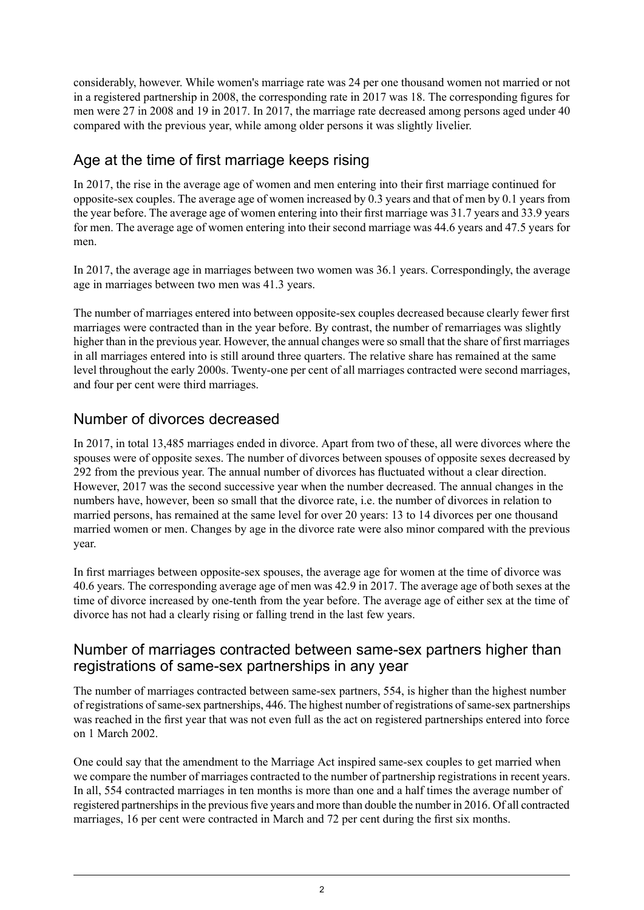considerably, however. While women's marriage rate was 24 per one thousand women not married or not in a registered partnership in 2008, the corresponding rate in 2017 was 18. The corresponding figures for men were 27 in 2008 and 19 in 2017. In 2017, the marriage rate decreased among persons aged under 40 compared with the previous year, while among older persons it was slightly livelier.

## Age at the time of first marriage keeps rising

In 2017, the rise in the average age of women and men entering into their first marriage continued for opposite-sex couples. The average age of women increased by 0.3 years and that of men by 0.1 years from the year before. The average age of women entering into their first marriage was 31.7 years and 33.9 years for men. The average age of women entering into their second marriage was 44.6 years and 47.5 years for men.

In 2017, the average age in marriages between two women was 36.1 years. Correspondingly, the average age in marriages between two men was 41.3 years.

The number of marriages entered into between opposite-sex couples decreased because clearly fewer first marriages were contracted than in the year before. By contrast, the number of remarriages was slightly higher than in the previous year. However, the annual changes were so small that the share of first marriages in all marriages entered into is still around three quarters. The relative share has remained at the same level throughout the early 2000s. Twenty-one per cent of all marriages contracted were second marriages, and four per cent were third marriages.

### Number of divorces decreased

In 2017, in total 13,485 marriages ended in divorce. Apart from two of these, all were divorces where the spouses were of opposite sexes. The number of divorces between spouses of opposite sexes decreased by 292 from the previous year. The annual number of divorces has fluctuated without a clear direction. However, 2017 was the second successive year when the number decreased. The annual changes in the numbers have, however, been so small that the divorce rate, i.e. the number of divorces in relation to married persons, has remained at the same level for over 20 years: 13 to 14 divorces per one thousand married women or men. Changes by age in the divorce rate were also minor compared with the previous year.

In first marriages between opposite-sex spouses, the average age for women at the time of divorce was 40.6 years. The corresponding average age of men was 42.9 in 2017. The average age of both sexes at the time of divorce increased by one-tenth from the year before. The average age of either sex at the time of divorce has not had a clearly rising or falling trend in the last few years.

### Number of marriages contracted between same-sex partners higher than registrations of same-sex partnerships in any year

The number of marriages contracted between same-sex partners, 554, is higher than the highest number of registrations of same-sex partnerships, 446. The highest number of registrations of same-sex partnerships was reached in the first year that was not even full as the act on registered partnerships entered into force on 1 March 2002.

One could say that the amendment to the Marriage Act inspired same-sex couples to get married when we compare the number of marriages contracted to the number of partnership registrations in recent years. In all, 554 contracted marriages in ten months is more than one and a half times the average number of registered partnerships in the previous five years and more than double the number in 2016. Of all contracted marriages, 16 per cent were contracted in March and 72 per cent during the first six months.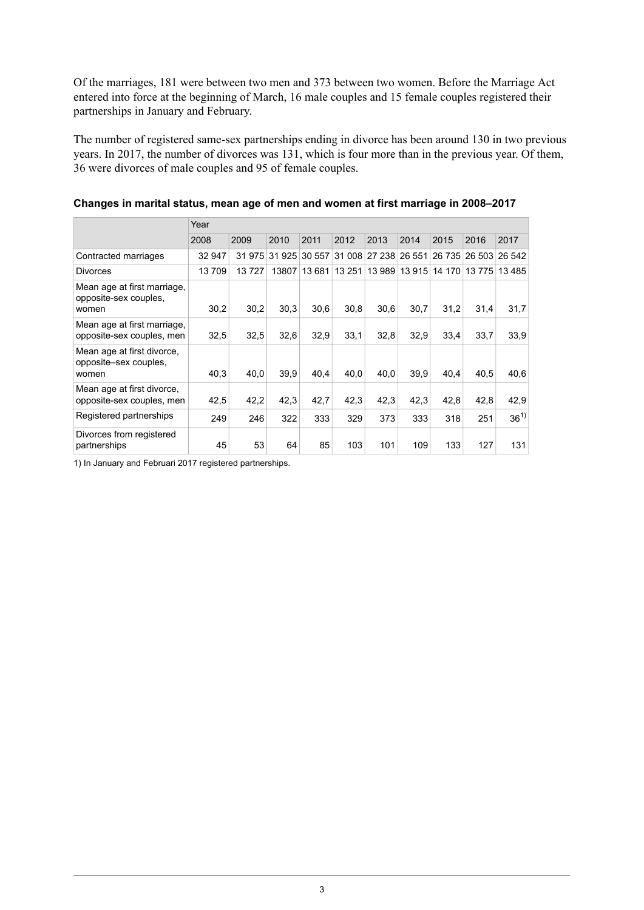Of the marriages, 181 were between two men and 373 between two women. Before the Marriage Act entered into force at the beginning of March, 16 male couples and 15 female couples registered their partnerships in January and February.

The number of registered same-sex partnerships ending in divorce has been around 130 in two previous years. In 2017, the number of divorces was 131, which is four more than in the previous year. Of them, 36 were divorces of male couples and 95 of female couples.

|                                                               | Year   |       |        |        |        |               |        |        |       |               |
|---------------------------------------------------------------|--------|-------|--------|--------|--------|---------------|--------|--------|-------|---------------|
|                                                               | 2008   | 2009  | 2010   | 2011   | 2012   | 2013          | 2014   | 2015   | 2016  | 2017          |
| Contracted marriages                                          | 32 947 | 31975 | 31 925 | 30 557 |        | 31 008 27 238 | 26 551 | 26 735 |       | 26 503 26 542 |
| <b>Divorces</b>                                               | 13709  | 13727 | 13807  | 13 681 | 13 251 | 13 989        | 13 915 | 14 170 | 13775 | 13485         |
| Mean age at first marriage,<br>opposite-sex couples.<br>women | 30,2   | 30,2  | 30,3   | 30.6   | 30,8   | 30,6          | 30,7   | 31,2   | 31,4  | 31,7          |
| Mean age at first marriage.<br>opposite-sex couples, men      | 32,5   | 32,5  | 32,6   | 32,9   | 33.1   | 32,8          | 32.9   | 33,4   | 33,7  | 33.9          |
| Mean age at first divorce,<br>opposite–sex couples,<br>women  | 40,3   | 40,0  | 39,9   | 40.4   | 40,0   | 40,0          | 39,9   | 40,4   | 40,5  | 40,6          |
| Mean age at first divorce,<br>opposite-sex couples, men       | 42,5   | 42,2  | 42.3   | 42,7   | 42,3   | 42.3          | 42.3   | 42.8   | 42,8  | 42,9          |
| Registered partnerships                                       | 249    | 246   | 322    | 333    | 329    | 373           | 333    | 318    | 251   | $36^{1}$      |
| Divorces from registered<br>partnerships                      | 45     | 53    | 64     | 85     | 103    | 101           | 109    | 133    | 127   | 131           |

#### **Changes in marital status, mean age of men and women at first marriage in 2008–2017**

1) In January and Februari 2017 registered partnerships.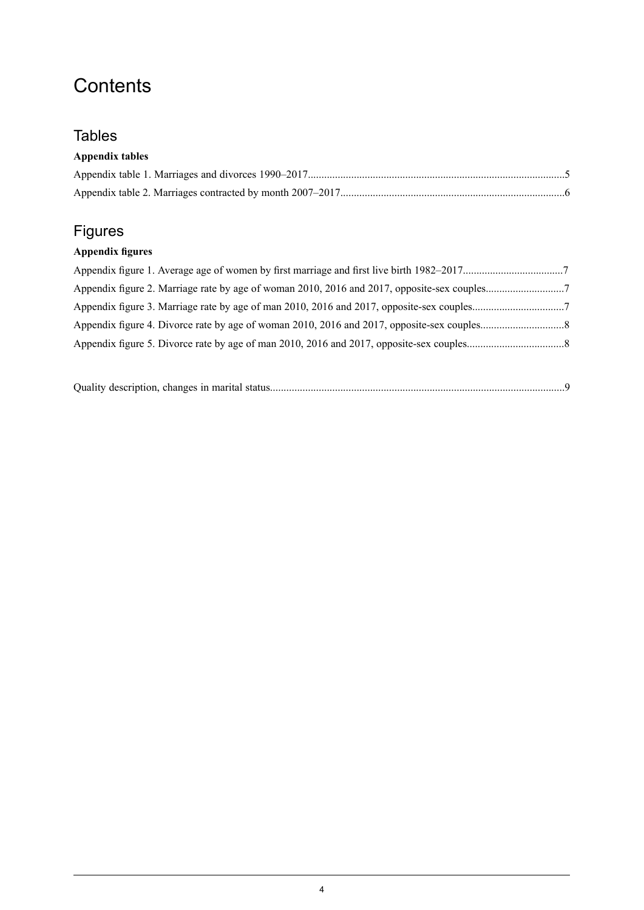## **Contents**

### **Tables**

### **Appendix tables**

## Figures

### **Appendix figures**

|--|--|--|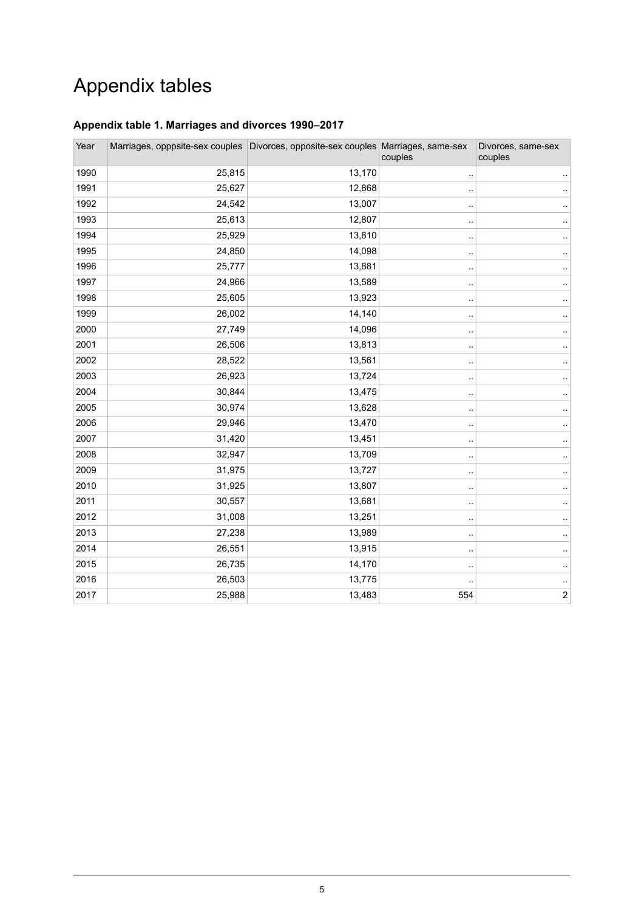## Appendix tables

#### <span id="page-4-0"></span>**Appendix table 1. Marriages and divorces 1990–2017**

| Year | Marriages, opppsite-sex couples Divorces, opposite-sex couples Marriages, same-sex |        | couples              | Divorces, same-sex<br>couples |
|------|------------------------------------------------------------------------------------|--------|----------------------|-------------------------------|
| 1990 | 25,815                                                                             | 13,170 |                      |                               |
| 1991 | 25,627                                                                             | 12,868 | $\ddot{\phantom{a}}$ |                               |
| 1992 | 24,542                                                                             | 13,007 | ٠.                   |                               |
| 1993 | 25,613                                                                             | 12,807 | ٠.                   |                               |
| 1994 | 25,929                                                                             | 13,810 | ٠.                   | ٠.                            |
| 1995 | 24,850                                                                             | 14,098 |                      |                               |
| 1996 | 25,777                                                                             | 13,881 | ٠.                   |                               |
| 1997 | 24,966                                                                             | 13,589 |                      |                               |
| 1998 | 25,605                                                                             | 13,923 | ٠.                   |                               |
| 1999 | 26,002                                                                             | 14,140 | $\ddot{\phantom{a}}$ |                               |
| 2000 | 27,749                                                                             | 14,096 |                      |                               |
| 2001 | 26,506                                                                             | 13,813 |                      |                               |
| 2002 | 28,522                                                                             | 13,561 |                      |                               |
| 2003 | 26,923                                                                             | 13,724 |                      |                               |
| 2004 | 30,844                                                                             | 13,475 |                      |                               |
| 2005 | 30,974                                                                             | 13,628 |                      |                               |
| 2006 | 29,946                                                                             | 13,470 |                      |                               |
| 2007 | 31,420                                                                             | 13,451 |                      |                               |
| 2008 | 32,947                                                                             | 13,709 |                      |                               |
| 2009 | 31,975                                                                             | 13,727 |                      |                               |
| 2010 | 31,925                                                                             | 13,807 |                      |                               |
| 2011 | 30,557                                                                             | 13,681 |                      |                               |
| 2012 | 31,008                                                                             | 13,251 |                      |                               |
| 2013 | 27,238                                                                             | 13,989 |                      |                               |
| 2014 | 26,551                                                                             | 13,915 |                      |                               |
| 2015 | 26,735                                                                             | 14,170 |                      |                               |
| 2016 | 26,503                                                                             | 13,775 |                      |                               |
| 2017 | 25,988                                                                             | 13,483 | 554                  | $\boldsymbol{2}$              |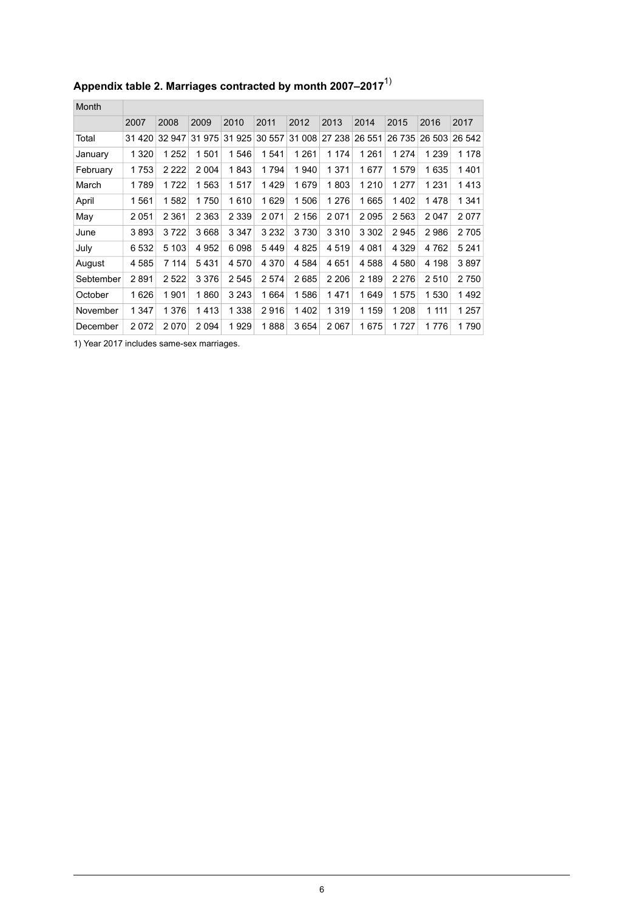| Month     |         |         |         |         |         |         |         |         |         |         |         |
|-----------|---------|---------|---------|---------|---------|---------|---------|---------|---------|---------|---------|
|           | 2007    | 2008    | 2009    | 2010    | 2011    | 2012    | 2013    | 2014    | 2015    | 2016    | 2017    |
| Total     | 31 4 20 | 32 947  | 31975   | 31 925  | 30 557  | 31 008  | 27 238  | 26 551  | 26 735  | 26 503  | 26 542  |
| January   | 1 3 2 0 | 1 252   | 1501    | 1546    | 1541    | 1 2 6 1 | 1 174   | 1 2 6 1 | 1 2 7 4 | 1 2 3 9 | 1 1 7 8 |
| February  | 1753    | 2 2 2 2 | 2 0 0 4 | 1843    | 1794    | 1940    | 1 3 7 1 | 1677    | 1579    | 1635    | 1401    |
| March     | 1789    | 1722    | 1563    | 1517    | 1429    | 1679    | 1803    | 1 2 1 0 | 1 2 7 7 | 1 2 3 1 | 1413    |
| April     | 1561    | 1582    | 1750    | 1610    | 1629    | 1506    | 1 276   | 1665    | 1402    | 1 478   | 1 3 4 1 |
| May       | 2051    | 2 3 6 1 | 2 3 6 3 | 2 3 3 9 | 2071    | 2 156   | 2071    | 2095    | 2563    | 2047    | 2077    |
| June      | 3893    | 3722    | 3668    | 3 3 4 7 | 3 2 3 2 | 3730    | 3 3 1 0 | 3 3 0 2 | 2945    | 2986    | 2705    |
| July      | 6532    | 5 1 0 3 | 4952    | 6098    | 5449    | 4825    | 4519    | 4 0 8 1 | 4 3 2 9 | 4762    | 5 2 4 1 |
| August    | 4585    | 7 114   | 5431    | 4 5 7 0 | 4 3 7 0 | 4 5 8 4 | 4651    | 4588    | 4580    | 4 1 9 8 | 3897    |
| Sebtember | 2891    | 2 5 2 2 | 3 3 7 6 | 2545    | 2 5 7 4 | 2685    | 2 2 0 6 | 2 189   | 2 2 7 6 | 2510    | 2750    |
| October   | 1626    | 1901    | 1860    | 3 2 4 3 | 1664    | 1586    | 1471    | 1649    | 1575    | 1530    | 1492    |
| November  | 1 3 4 7 | 1 376   | 1413    | 1 338   | 2916    | 1402    | 1 3 1 9 | 1 1 5 9 | 1 2 0 8 | 1 1 1 1 | 1 257   |
| December  | 2072    | 2070    | 2094    | 1929    | 1888    | 3654    | 2067    | 1675    | 1727    | 1776    | 1790    |

## <span id="page-5-0"></span>**Appendix table 2. Marriages contracted by month 2007–2017**1)

1) Year 2017 includes same-sex marriages.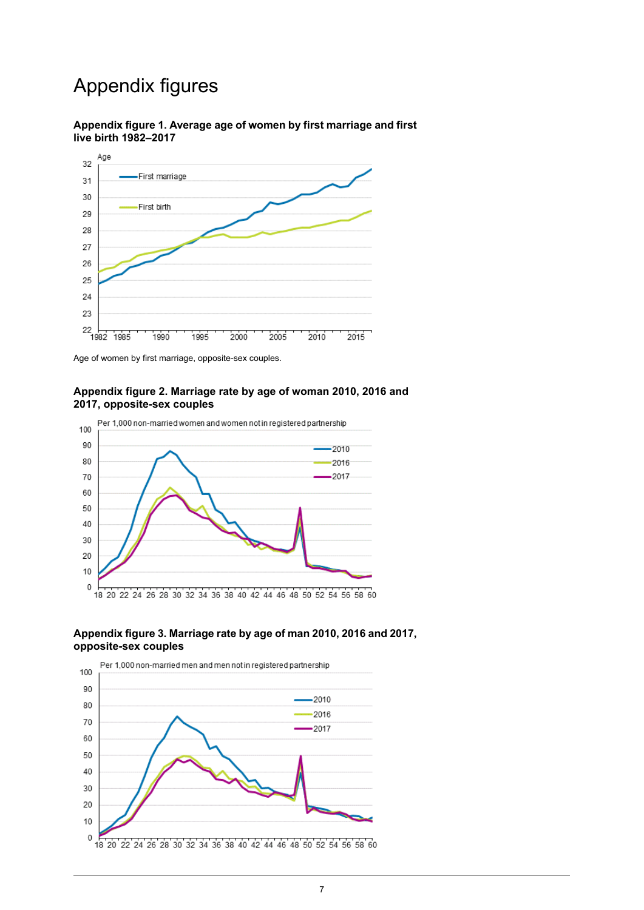## Appendix figures

<span id="page-6-0"></span>



<span id="page-6-1"></span>Age of women by first marriage, opposite-sex couples.

#### **Appendix figure 2. Marriage rate by age of woman 2010, 2016 and 2017, opposite-sex couples**



#### <span id="page-6-2"></span>**Appendix figure 3. Marriage rate by age of man 2010, 2016 and 2017, opposite-sex couples**

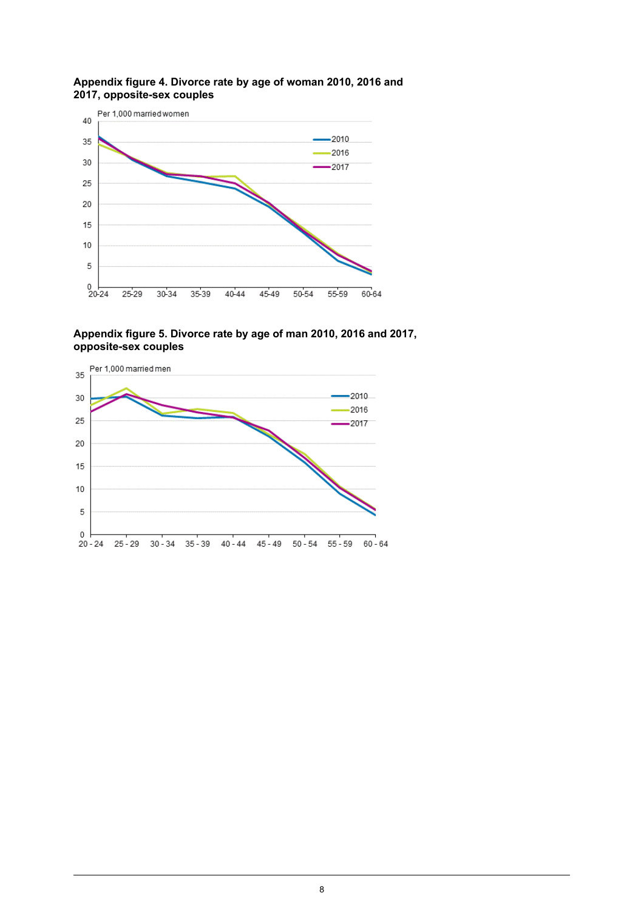

#### <span id="page-7-0"></span>**Appendix figure 4. Divorce rate by age of woman 2010, 2016 and 2017, opposite-sex couples**

<span id="page-7-1"></span>**Appendix figure 5. Divorce rate by age of man 2010, 2016 and 2017, opposite-sex couples**

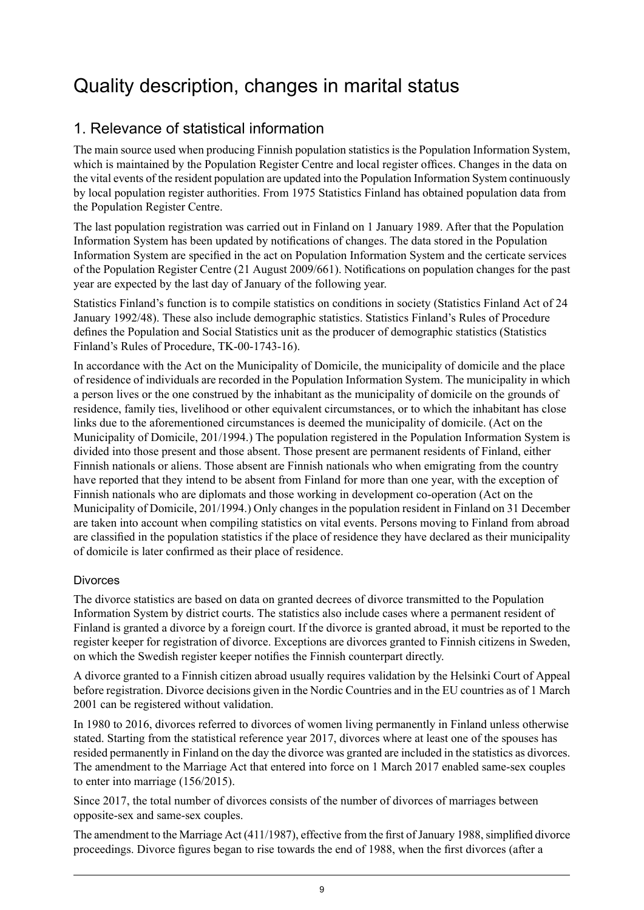## <span id="page-8-0"></span>Quality description, changes in marital status

## 1. Relevance of statistical information

The main source used when producing Finnish population statistics is the Population Information System, which is maintained by the Population Register Centre and local register offices. Changes in the data on the vital events of the resident population are updated into the Population Information System continuously by local population register authorities. From 1975 Statistics Finland has obtained population data from the Population Register Centre.

The last population registration was carried out in Finland on 1 January 1989. After that the Population Information System has been updated by notifications of changes. The data stored in the Population Information System are specified in the act on Population Information System and the certicate services of the Population Register Centre (21 August 2009/661). Notifications on population changes for the past year are expected by the last day of January of the following year.

Statistics Finland's function is to compile statistics on conditions in society (Statistics Finland Act of 24 January 1992/48). These also include demographic statistics. Statistics Finland's Rules of Procedure defines the Population and Social Statistics unit as the producer of demographic statistics (Statistics Finland's Rules of Procedure, TK-00-1743-16).

In accordance with the Act on the Municipality of Domicile, the municipality of domicile and the place of residence of individuals are recorded in the Population Information System. The municipality in which a person lives or the one construed by the inhabitant as the municipality of domicile on the grounds of residence, family ties, livelihood or other equivalent circumstances, or to which the inhabitant has close links due to the aforementioned circumstances is deemed the municipality of domicile. (Act on the Municipality of Domicile, 201/1994.) The population registered in the Population Information System is divided into those present and those absent. Those present are permanent residents of Finland, either Finnish nationals or aliens. Those absent are Finnish nationals who when emigrating from the country have reported that they intend to be absent from Finland for more than one year, with the exception of Finnish nationals who are diplomats and those working in development co-operation (Act on the Municipality of Domicile, 201/1994.) Only changes in the population resident in Finland on 31 December are taken into account when compiling statistics on vital events. Persons moving to Finland from abroad are classified in the population statistics if the place of residence they have declared as their municipality of domicile is later confirmed as their place of residence.

#### Divorces

The divorce statistics are based on data on granted decrees of divorce transmitted to the Population Information System by district courts. The statistics also include cases where a permanent resident of Finland is granted a divorce by a foreign court. If the divorce is granted abroad, it must be reported to the register keeper for registration of divorce. Exceptions are divorces granted to Finnish citizens in Sweden, on which the Swedish register keeper notifies the Finnish counterpart directly.

A divorce granted to a Finnish citizen abroad usually requires validation by the Helsinki Court of Appeal before registration. Divorce decisions given in the Nordic Countries and in the EU countries as of 1 March 2001 can be registered without validation.

In 1980 to 2016, divorces referred to divorces of women living permanently in Finland unless otherwise stated. Starting from the statistical reference year 2017, divorces where at least one of the spouses has resided permanently in Finland on the day the divorce was granted are included in the statistics as divorces. The amendment to the Marriage Act that entered into force on 1 March 2017 enabled same-sex couples to enter into marriage (156/2015).

Since 2017, the total number of divorces consists of the number of divorces of marriages between opposite-sex and same-sex couples.

The amendment to the Marriage Act (411/1987), effective from the first of January 1988, simplified divorce proceedings. Divorce figures began to rise towards the end of 1988, when the first divorces (after a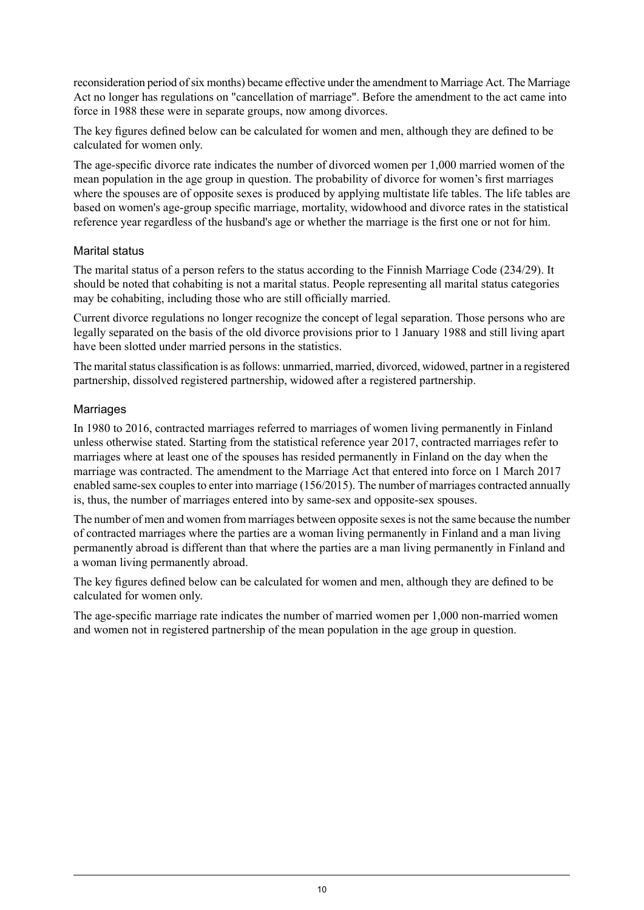reconsideration period ofsix months) became effective under the amendment to Marriage Act. The Marriage Act no longer has regulations on "cancellation of marriage". Before the amendment to the act came into force in 1988 these were in separate groups, now among divorces.

The key figures defined below can be calculated for women and men, although they are defined to be calculated for women only.

The age-specific divorce rate indicates the number of divorced women per 1,000 married women of the mean population in the age group in question. The probability of divorce for women's first marriages where the spouses are of opposite sexes is produced by applying multistate life tables. The life tables are based on women's age-group specific marriage, mortality, widowhood and divorce rates in the statistical reference year regardless of the husband's age or whether the marriage is the first one or not for him.

#### Marital status

The marital status of a person refers to the status according to the Finnish Marriage Code (234/29). It should be noted that cohabiting is not a marital status. People representing all marital status categories may be cohabiting, including those who are still officially married.

Current divorce regulations no longer recognize the concept of legal separation. Those persons who are legally separated on the basis of the old divorce provisions prior to 1 January 1988 and still living apart have been slotted under married persons in the statistics.

The marital status classification is as follows: unmarried, married, divorced, widowed, partner in a registered partnership, dissolved registered partnership, widowed after a registered partnership.

#### **Marriages**

In 1980 to 2016, contracted marriages referred to marriages of women living permanently in Finland unless otherwise stated. Starting from the statistical reference year 2017, contracted marriages refer to marriages where at least one of the spouses has resided permanently in Finland on the day when the marriage was contracted. The amendment to the Marriage Act that entered into force on 1 March 2017 enabled same-sex couples to enter into marriage (156/2015). The number of marriages contracted annually is, thus, the number of marriages entered into by same-sex and opposite-sex spouses.

The number of men and women from marriages between opposite sexesis not the same because the number of contracted marriages where the parties are a woman living permanently in Finland and a man living permanently abroad is different than that where the parties are a man living permanently in Finland and a woman living permanently abroad.

The key figures defined below can be calculated for women and men, although they are defined to be calculated for women only.

The age-specific marriage rate indicates the number of married women per 1,000 non-married women and women not in registered partnership of the mean population in the age group in question.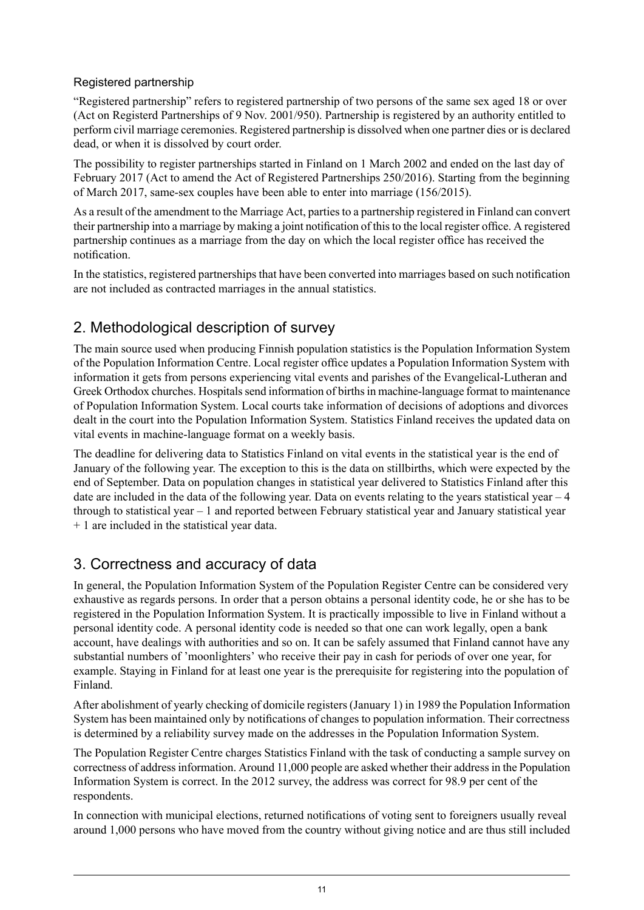#### Registered partnership

"Registered partnership" refers to registered partnership of two persons of the same sex aged 18 or over (Act on Registerd Partnerships of 9 Nov. 2001/950). Partnership is registered by an authority entitled to perform civil marriage ceremonies. Registered partnership is dissolved when one partner dies or is declared dead, or when it is dissolved by court order.

The possibility to register partnerships started in Finland on 1 March 2002 and ended on the last day of February 2017 (Act to amend the Act of Registered Partnerships 250/2016). Starting from the beginning of March 2017, same-sex couples have been able to enter into marriage (156/2015).

As a result of the amendment to the Marriage Act, partiesto a partnership registered in Finland can convert their partnership into a marriage by making a joint notification of this to the local register office. A registered partnership continues as a marriage from the day on which the local register office has received the notification.

In the statistics, registered partnerships that have been converted into marriages based on such notification are not included as contracted marriages in the annual statistics.

## 2. Methodological description of survey

The main source used when producing Finnish population statistics is the Population Information System of the Population Information Centre. Local register office updates a Population Information System with information it gets from persons experiencing vital events and parishes of the Evangelical-Lutheran and Greek Orthodox churches. Hospitals send information of births in machine-language format to maintenance of Population Information System. Local courts take information of decisions of adoptions and divorces dealt in the court into the Population Information System. Statistics Finland receives the updated data on vital events in machine-language format on a weekly basis.

The deadline for delivering data to Statistics Finland on vital events in the statistical year is the end of January of the following year. The exception to this is the data on stillbirths, which were expected by the end of September. Data on population changes in statistical year delivered to Statistics Finland after this date are included in the data of the following year. Data on events relating to the years statistical year – 4 through to statistical year – 1 and reported between February statistical year and January statistical year + 1 are included in the statistical year data.

## 3. Correctness and accuracy of data

In general, the Population Information System of the Population Register Centre can be considered very exhaustive as regards persons. In order that a person obtains a personal identity code, he or she has to be registered in the Population Information System. It is practically impossible to live in Finland without a personal identity code. A personal identity code is needed so that one can work legally, open a bank account, have dealings with authorities and so on. It can be safely assumed that Finland cannot have any substantial numbers of 'moonlighters' who receive their pay in cash for periods of over one year, for example. Staying in Finland for at least one year is the prerequisite for registering into the population of Finland.

After abolishment of yearly checking of domicile registers (January 1) in 1989 the Population Information System has been maintained only by notifications of changes to population information. Their correctness is determined by a reliability survey made on the addresses in the Population Information System.

The Population Register Centre charges Statistics Finland with the task of conducting a sample survey on correctness of addressinformation. Around 11,000 people are asked whether their addressin the Population Information System is correct. In the 2012 survey, the address was correct for 98.9 per cent of the respondents.

In connection with municipal elections, returned notifications of voting sent to foreigners usually reveal around 1,000 persons who have moved from the country without giving notice and are thus still included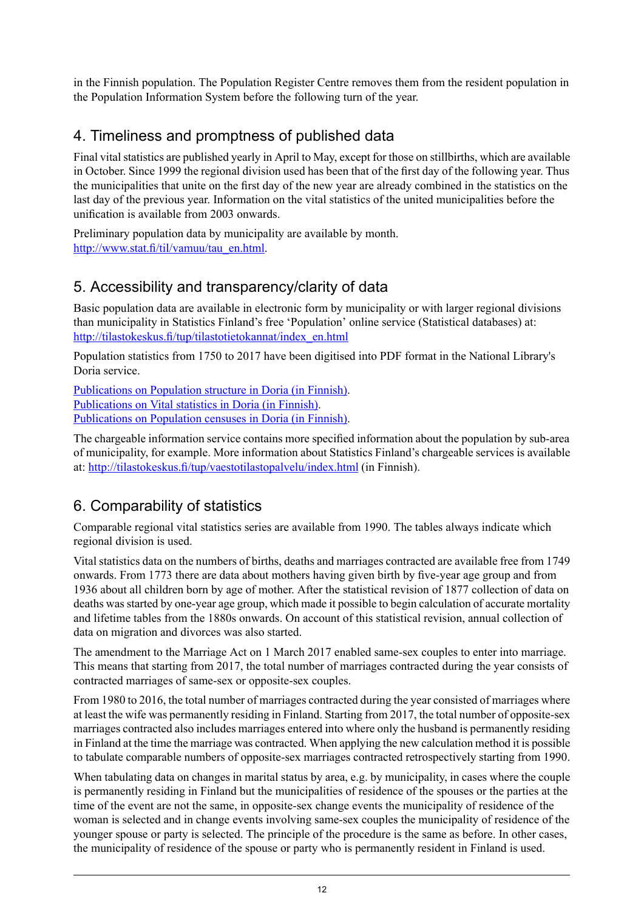in the Finnish population. The Population Register Centre removes them from the resident population in the Population Information System before the following turn of the year.

## 4. Timeliness and promptness of published data

Final vital statistics are published yearly in April to May, except for those on stillbirths, which are available in October. Since 1999 the regional division used has been that of the first day of the following year. Thus the municipalities that unite on the first day of the new year are already combined in the statistics on the last day of the previous year. Information on the vital statistics of the united municipalities before the unification is available from 2003 onwards.

Preliminary population data by municipality are available by month. [http://www.stat.fi/til/vamuu/tau\\_en.html.](http://www.stat.fi/til/vamuu/tau_en.html)

### 5. Accessibility and transparency/clarity of data

Basic population data are available in electronic form by municipality or with larger regional divisions than municipality in Statistics Finland's free 'Population' online service (Statistical databases) at: [http://tilastokeskus.fi/tup/tilastotietokannat/index\\_en.html](http://tilastokeskus.fi/tup/tilastotietokannat/index_en.html)

Population statistics from 1750 to 2017 have been digitised into PDF format in the National Library's Doria service.

[Publications](http://www.doria.fi/handle/10024/67162) on Population structure in Doria (in Finnish). [Publications](http://www.doria.fi/handle/10024/67161) on Vital statistics in Doria (in Finnish). [Publications](http://www.doria.fi/handle/10024/67160) on Population censuses in Doria (in Finnish).

The chargeable information service contains more specified information about the population by sub-area of municipality, for example. More information about Statistics Finland's chargeable services is available at: <http://tilastokeskus.fi/tup/vaestotilastopalvelu/index.html> (in Finnish).

## 6. Comparability of statistics

Comparable regional vital statistics series are available from 1990. The tables always indicate which regional division is used.

Vital statistics data on the numbers of births, deaths and marriages contracted are available free from 1749 onwards. From 1773 there are data about mothers having given birth by five-year age group and from 1936 about all children born by age of mother. After the statistical revision of 1877 collection of data on deaths was started by one-year age group, which made it possible to begin calculation of accurate mortality and lifetime tables from the 1880s onwards. On account of this statistical revision, annual collection of data on migration and divorces was also started.

The amendment to the Marriage Act on 1 March 2017 enabled same-sex couples to enter into marriage. This means that starting from 2017, the total number of marriages contracted during the year consists of contracted marriages of same-sex or opposite-sex couples.

From 1980 to 2016, the total number of marriages contracted during the year consisted of marriages where at least the wife was permanently residing in Finland. Starting from 2017, the total number of opposite-sex marriages contracted also includes marriages entered into where only the husband is permanently residing in Finland at the time the marriage was contracted. When applying the new calculation method it is possible to tabulate comparable numbers of opposite-sex marriages contracted retrospectively starting from 1990.

When tabulating data on changes in marital status by area, e.g. by municipality, in cases where the couple is permanently residing in Finland but the municipalities of residence of the spouses or the parties at the time of the event are not the same, in opposite-sex change events the municipality of residence of the woman is selected and in change events involving same-sex couples the municipality of residence of the younger spouse or party is selected. The principle of the procedure is the same as before. In other cases, the municipality of residence of the spouse or party who is permanently resident in Finland is used.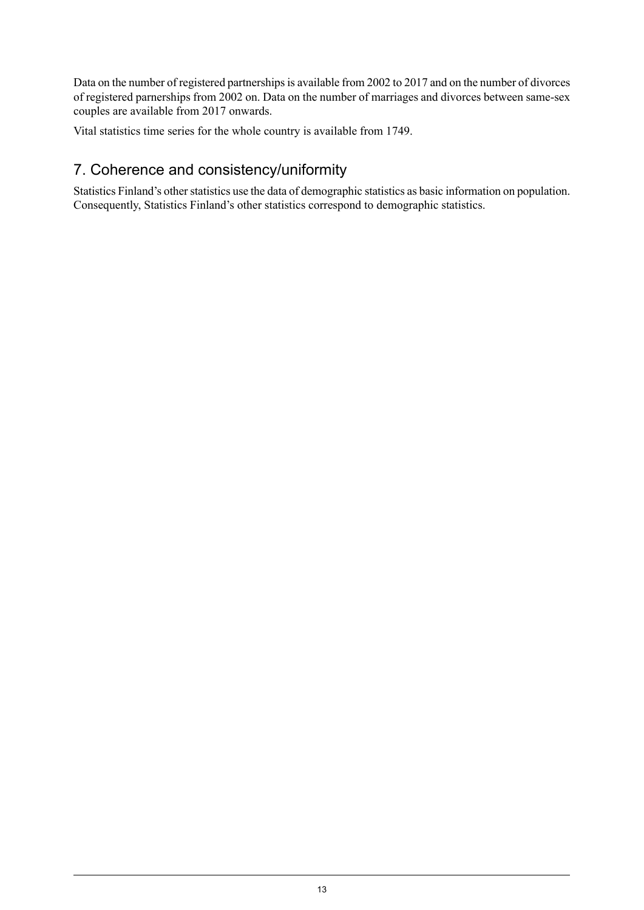Data on the number of registered partnerships is available from 2002 to 2017 and on the number of divorces of registered parnerships from 2002 on. Data on the number of marriages and divorces between same-sex couples are available from 2017 onwards.

Vital statistics time series for the whole country is available from 1749.

## 7. Coherence and consistency/uniformity

Statistics Finland's other statistics use the data of demographic statistics as basic information on population. Consequently, Statistics Finland's other statistics correspond to demographic statistics.